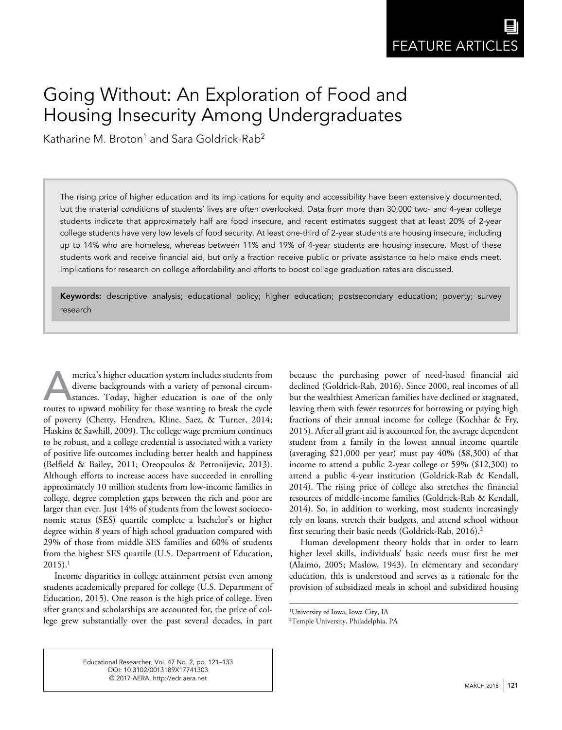# Going Without: An Exploration of Food and Housing Insecurity Among Undergraduates

Katharine M. Broton $^1$  and Sara Goldrick-Rab $^2$ 

The rising price of higher education and its implications for equity and accessibility have been extensively documented, but the material conditions of students' lives are often overlooked. Data from more than 30,000 two- and 4-year college students indicate that approximately half are food insecure, and recent estimates suggest that at least 20% of 2-year college students have very low levels of food security. At least one-third of 2-year students are housing insecure, including up to 14% who are homeless, whereas between 11% and 19% of 4-year students are housing insecure. Most of these students work and receive financial aid, but only a fraction receive public or private assistance to help make ends meet. Implications for research on college affordability and efforts to boost college graduation rates are discussed.

Keywords: descriptive analysis; educational policy; higher education; postsecondary education; poverty; survey research

merica's higher education system includes students from diverse backgrounds with a variety of personal circum-<br>stances. Today, higher education is one of the only<br>routes to unward mobility for those wanting to break the cy diverse backgrounds with a variety of personal circumroutes to upward mobility for those wanting to break the cycle of poverty (Chetty, Hendren, Kline, Saez, & Turner, 2014; Haskins & Sawhill, 2009). The college wage premium continues to be robust, and a college credential is associated with a variety of positive life outcomes including better health and happiness (Belfield & Bailey, 2011; Oreopoulos & Petronijevic, 2013). Although efforts to increase access have succeeded in enrolling approximately 10 million students from low-income families in college, degree completion gaps between the rich and poor are larger than ever. Just 14% of students from the lowest socioeconomic status (SES) quartile complete a bachelor's or higher degree within 8 years of high school graduation compared with 29% of those from middle SES families and 60% of students from the highest SES quartile (U.S. Department of Education,  $2015$ ).<sup>1</sup>

Income disparities in college attainment persist even among students academically prepared for college (U.S. Department of Education, 2015). One reason is the high price of college. Even after grants and scholarships are accounted for, the price of college grew substantially over the past several decades, in part

because the purchasing power of need-based financial aid declined (Goldrick-Rab, 2016). Since 2000, real incomes of all but the wealthiest American families have declined or stagnated, leaving them with fewer resources for borrowing or paying high fractions of their annual income for college (Kochhar & Fry, 2015). After all grant aid is accounted for, the average dependent student from a family in the lowest annual income quartile (averaging \$21,000 per year) must pay 40% (\$8,300) of that income to attend a public 2-year college or 59% (\$12,300) to attend a public 4-year institution (Goldrick-Rab & Kendall, 2014). The rising price of college also stretches the financial resources of middle-income families (Goldrick-Rab & Kendall, 2014). So, in addition to working, most students increasingly rely on loans, stretch their budgets, and attend school without first securing their basic needs (Goldrick-Rab, 2016).2

Human development theory holds that in order to learn higher level skills, individuals' basic needs must first be met (Alaimo, 2005; Maslow, 1943). In elementary and secondary education, this is understood and serves as a rationale for the provision of subsidized meals in school and subsidized housing

Educational Researcher, Vol. 47 No. 2, pp. 121–133 DOI: [10.3102/0013189X17741303](https://doi.org/10.3102/0013189X17741303) © 2017 AERA. htt[p://edr.aera.net](http://edr.aera.net)

<sup>1</sup> University of Iowa, Iowa City, IA

<sup>2</sup> Temple University, Philadelphia, PA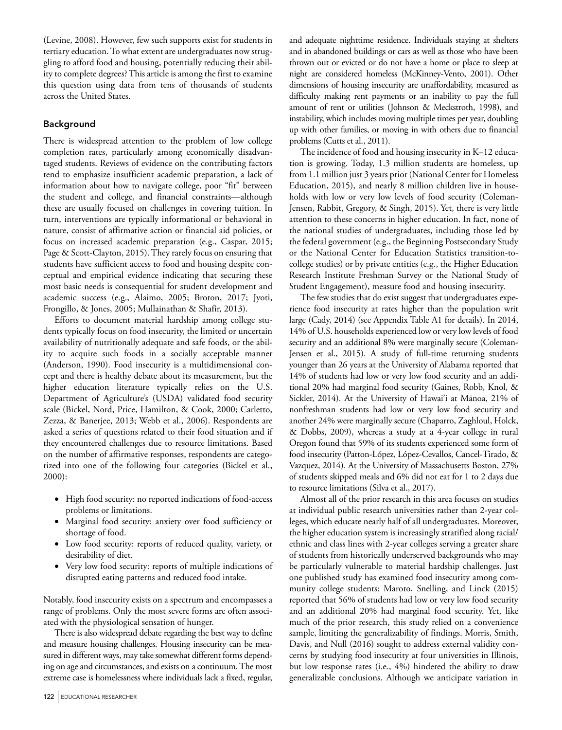(Levine, 2008). However, few such supports exist for students in tertiary education. To what extent are undergraduates now struggling to afford food and housing, potentially reducing their ability to complete degrees? This article is among the first to examine this question using data from tens of thousands of students across the United States.

## Background

There is widespread attention to the problem of low college completion rates, particularly among economically disadvantaged students. Reviews of evidence on the contributing factors tend to emphasize insufficient academic preparation, a lack of information about how to navigate college, poor "fit" between the student and college, and financial constraints—although these are usually focused on challenges in covering tuition. In turn, interventions are typically informational or behavioral in nature, consist of affirmative action or financial aid policies, or focus on increased academic preparation (e.g., Caspar, 2015; Page & Scott-Clayton, 2015). They rarely focus on ensuring that students have sufficient access to food and housing despite conceptual and empirical evidence indicating that securing these most basic needs is consequential for student development and academic success (e.g., Alaimo, 2005; Broton, 2017; Jyoti, Frongillo, & Jones, 2005; Mullainathan & Shafir, 2013).

Efforts to document material hardship among college students typically focus on food insecurity, the limited or uncertain availability of nutritionally adequate and safe foods, or the ability to acquire such foods in a socially acceptable manner (Anderson, 1990). Food insecurity is a multidimensional concept and there is healthy debate about its measurement, but the higher education literature typically relies on the U.S. Department of Agriculture's (USDA) validated food security scale (Bickel, Nord, Price, Hamilton, & Cook, 2000; Carletto, Zezza, & Banerjee, 2013; Webb et al., 2006). Respondents are asked a series of questions related to their food situation and if they encountered challenges due to resource limitations. Based on the number of affirmative responses, respondents are categorized into one of the following four categories (Bickel et al., 2000):

- High food security: no reported indications of food-access problems or limitations.
- Marginal food security: anxiety over food sufficiency or shortage of food.
- Low food security: reports of reduced quality, variety, or desirability of diet.
- Very low food security: reports of multiple indications of disrupted eating patterns and reduced food intake.

Notably, food insecurity exists on a spectrum and encompasses a range of problems. Only the most severe forms are often associated with the physiological sensation of hunger.

There is also widespread debate regarding the best way to define and measure housing challenges. Housing insecurity can be measured in different ways, may take somewhat different forms depending on age and circumstances, and exists on a continuum. The most extreme case is homelessness where individuals lack a fixed, regular,

and adequate nighttime residence. Individuals staying at shelters and in abandoned buildings or cars as well as those who have been thrown out or evicted or do not have a home or place to sleep at night are considered homeless (McKinney-Vento, 2001). Other dimensions of housing insecurity are unaffordability, measured as difficulty making rent payments or an inability to pay the full amount of rent or utilities (Johnson & Meckstroth, 1998), and instability, which includes moving multiple times per year, doubling up with other families, or moving in with others due to financial problems (Cutts et al., 2011).

The incidence of food and housing insecurity in K–12 education is growing. Today, 1.3 million students are homeless, up from 1.1 million just 3 years prior (National Center for Homeless Education, 2015), and nearly 8 million children live in households with low or very low levels of food security (Coleman-Jensen, Rabbit, Gregory, & Singh, 2015). Yet, there is very little attention to these concerns in higher education. In fact, none of the national studies of undergraduates, including those led by the federal government (e.g., the Beginning Postsecondary Study or the National Center for Education Statistics transition-tocollege studies) or by private entities (e.g., the Higher Education Research Institute Freshman Survey or the National Study of Student Engagement), measure food and housing insecurity.

The few studies that do exist suggest that undergraduates experience food insecurity at rates higher than the population writ large (Cady, 2014) (see Appendix Table A1 for details). In 2014, 14% of U.S. households experienced low or very low levels of food security and an additional 8% were marginally secure (Coleman-Jensen et al., 2015). A study of full-time returning students younger than 26 years at the University of Alabama reported that 14% of students had low or very low food security and an additional 20% had marginal food security (Gaines, Robb, Knol, & Sickler, 2014). At the University of Hawai'i at Mānoa, 21% of nonfreshman students had low or very low food security and another 24% were marginally secure (Chaparro, Zaghloul, Holck, & Dobbs, 2009), whereas a study at a 4-year college in rural Oregon found that 59% of its students experienced some form of food insecurity (Patton-López, López-Cevallos, Cancel-Tirado, & Vazquez, 2014). At the University of Massachusetts Boston, 27% of students skipped meals and 6% did not eat for 1 to 2 days due to resource limitations (Silva et al., 2017).

Almost all of the prior research in this area focuses on studies at individual public research universities rather than 2-year colleges, which educate nearly half of all undergraduates. Moreover, the higher education system is increasingly stratified along racial/ ethnic and class lines with 2-year colleges serving a greater share of students from historically underserved backgrounds who may be particularly vulnerable to material hardship challenges. Just one published study has examined food insecurity among community college students: Maroto, Snelling, and Linck (2015) reported that 56% of students had low or very low food security and an additional 20% had marginal food security. Yet, like much of the prior research, this study relied on a convenience sample, limiting the generalizability of findings. Morris, Smith, Davis, and Null (2016) sought to address external validity concerns by studying food insecurity at four universities in Illinois, but low response rates (i.e., 4%) hindered the ability to draw generalizable conclusions. Although we anticipate variation in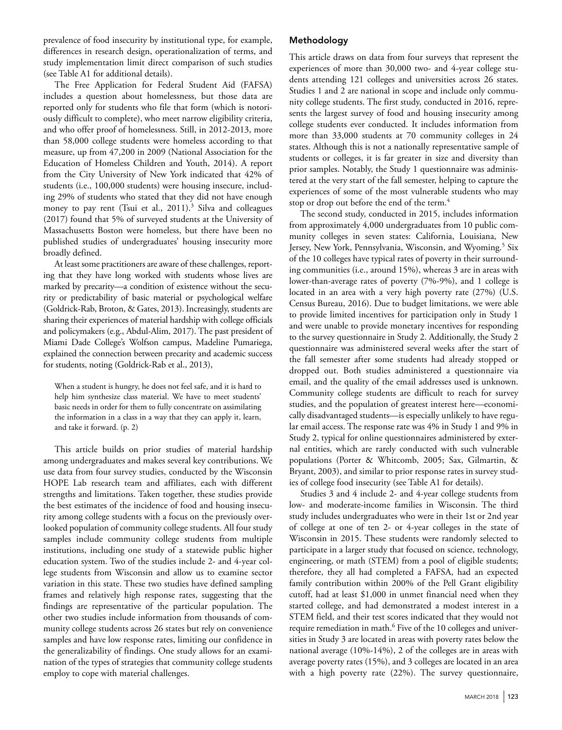prevalence of food insecurity by institutional type, for example, differences in research design, operationalization of terms, and study implementation limit direct comparison of such studies (see Table A1 for additional details).

The Free Application for Federal Student Aid (FAFSA) includes a question about homelessness, but those data are reported only for students who file that form (which is notoriously difficult to complete), who meet narrow eligibility criteria, and who offer proof of homelessness. Still, in 2012-2013, more than 58,000 college students were homeless according to that measure, up from 47,200 in 2009 (National Association for the Education of Homeless Children and Youth, 2014). A report from the City University of New York indicated that 42% of students (i.e., 100,000 students) were housing insecure, including 29% of students who stated that they did not have enough money to pay rent (Tsui et al., 2011).<sup>3</sup> Silva and colleagues (2017) found that 5% of surveyed students at the University of Massachusetts Boston were homeless, but there have been no published studies of undergraduates' housing insecurity more broadly defined.

At least some practitioners are aware of these challenges, reporting that they have long worked with students whose lives are marked by precarity—a condition of existence without the security or predictability of basic material or psychological welfare (Goldrick-Rab, Broton, & Gates, 2013). Increasingly, students are sharing their experiences of material hardship with college officials and policymakers (e.g., Abdul-Alim, 2017). The past president of Miami Dade College's Wolfson campus, Madeline Pumariega, explained the connection between precarity and academic success for students, noting (Goldrick-Rab et al., 2013),

When a student is hungry, he does not feel safe, and it is hard to help him synthesize class material. We have to meet students' basic needs in order for them to fully concentrate on assimilating the information in a class in a way that they can apply it, learn, and take it forward. (p. 2)

This article builds on prior studies of material hardship among undergraduates and makes several key contributions. We use data from four survey studies, conducted by the Wisconsin HOPE Lab research team and affiliates, each with different strengths and limitations. Taken together, these studies provide the best estimates of the incidence of food and housing insecurity among college students with a focus on the previously overlooked population of community college students. All four study samples include community college students from multiple institutions, including one study of a statewide public higher education system. Two of the studies include 2- and 4-year college students from Wisconsin and allow us to examine sector variation in this state. These two studies have defined sampling frames and relatively high response rates, suggesting that the findings are representative of the particular population. The other two studies include information from thousands of community college students across 26 states but rely on convenience samples and have low response rates, limiting our confidence in the generalizability of findings. One study allows for an examination of the types of strategies that community college students employ to cope with material challenges.

## Methodology

This article draws on data from four surveys that represent the experiences of more than 30,000 two- and 4-year college students attending 121 colleges and universities across 26 states. Studies 1 and 2 are national in scope and include only community college students. The first study, conducted in 2016, represents the largest survey of food and housing insecurity among college students ever conducted. It includes information from more than 33,000 students at 70 community colleges in 24 states. Although this is not a nationally representative sample of students or colleges, it is far greater in size and diversity than prior samples. Notably, the Study 1 questionnaire was administered at the very start of the fall semester, helping to capture the experiences of some of the most vulnerable students who may stop or drop out before the end of the term.4

The second study, conducted in 2015, includes information from approximately 4,000 undergraduates from 10 public community colleges in seven states: California, Louisiana, New Jersey, New York, Pennsylvania, Wisconsin, and Wyoming.<sup>5</sup> Six of the 10 colleges have typical rates of poverty in their surrounding communities (i.e., around 15%), whereas 3 are in areas with lower-than-average rates of poverty (7%-9%), and 1 college is located in an area with a very high poverty rate (27%) (U.S. Census Bureau, 2016). Due to budget limitations, we were able to provide limited incentives for participation only in Study 1 and were unable to provide monetary incentives for responding to the survey questionnaire in Study 2. Additionally, the Study 2 questionnaire was administered several weeks after the start of the fall semester after some students had already stopped or dropped out. Both studies administered a questionnaire via email, and the quality of the email addresses used is unknown. Community college students are difficult to reach for survey studies, and the population of greatest interest here—economically disadvantaged students—is especially unlikely to have regular email access. The response rate was 4% in Study 1 and 9% in Study 2, typical for online questionnaires administered by external entities, which are rarely conducted with such vulnerable populations (Porter & Whitcomb, 2005; Sax, Gilmartin, & Bryant, 2003), and similar to prior response rates in survey studies of college food insecurity (see Table A1 for details).

Studies 3 and 4 include 2- and 4-year college students from low- and moderate-income families in Wisconsin. The third study includes undergraduates who were in their 1st or 2nd year of college at one of ten 2- or 4-year colleges in the state of Wisconsin in 2015. These students were randomly selected to participate in a larger study that focused on science, technology, engineering, or math (STEM) from a pool of eligible students; therefore, they all had completed a FAFSA, had an expected family contribution within 200% of the Pell Grant eligibility cutoff, had at least \$1,000 in unmet financial need when they started college, and had demonstrated a modest interest in a STEM field, and their test scores indicated that they would not require remediation in math.<sup>6</sup> Five of the 10 colleges and universities in Study 3 are located in areas with poverty rates below the national average (10%-14%), 2 of the colleges are in areas with average poverty rates (15%), and 3 colleges are located in an area with a high poverty rate (22%). The survey questionnaire,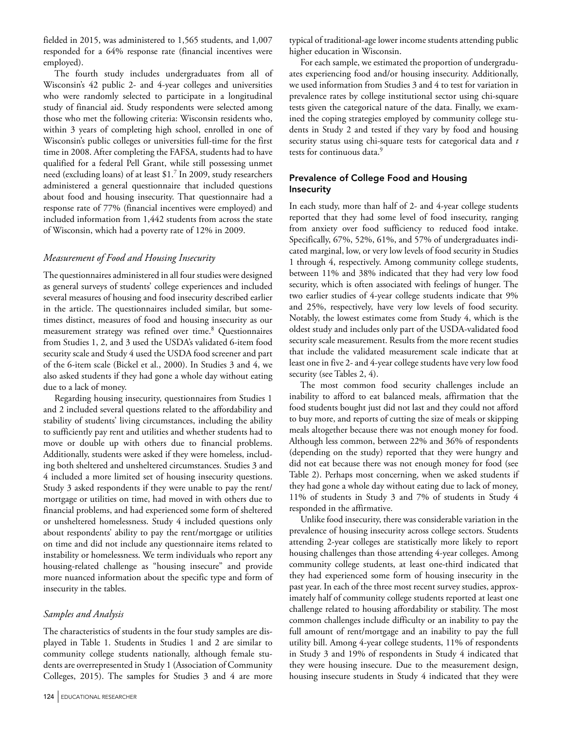fielded in 2015, was administered to 1,565 students, and 1,007 responded for a 64% response rate (financial incentives were employed).

The fourth study includes undergraduates from all of Wisconsin's 42 public 2- and 4-year colleges and universities who were randomly selected to participate in a longitudinal study of financial aid. Study respondents were selected among those who met the following criteria: Wisconsin residents who, within 3 years of completing high school, enrolled in one of Wisconsin's public colleges or universities full-time for the first time in 2008. After completing the FAFSA, students had to have qualified for a federal Pell Grant, while still possessing unmet need (excluding loans) of at least \$1.7 In 2009, study researchers administered a general questionnaire that included questions about food and housing insecurity. That questionnaire had a response rate of 77% (financial incentives were employed) and included information from 1,442 students from across the state of Wisconsin, which had a poverty rate of 12% in 2009.

## *Measurement of Food and Housing Insecurity*

The questionnaires administered in all four studies were designed as general surveys of students' college experiences and included several measures of housing and food insecurity described earlier in the article. The questionnaires included similar, but sometimes distinct, measures of food and housing insecurity as our measurement strategy was refined over time.<sup>8</sup> Questionnaires from Studies 1, 2, and 3 used the USDA's validated 6-item food security scale and Study 4 used the USDA food screener and part of the 6-item scale (Bickel et al., 2000). In Studies 3 and 4, we also asked students if they had gone a whole day without eating due to a lack of money.

Regarding housing insecurity, questionnaires from Studies 1 and 2 included several questions related to the affordability and stability of students' living circumstances, including the ability to sufficiently pay rent and utilities and whether students had to move or double up with others due to financial problems. Additionally, students were asked if they were homeless, including both sheltered and unsheltered circumstances. Studies 3 and 4 included a more limited set of housing insecurity questions. Study 3 asked respondents if they were unable to pay the rent/ mortgage or utilities on time, had moved in with others due to financial problems, and had experienced some form of sheltered or unsheltered homelessness. Study 4 included questions only about respondents' ability to pay the rent/mortgage or utilities on time and did not include any questionnaire items related to instability or homelessness. We term individuals who report any housing-related challenge as "housing insecure" and provide more nuanced information about the specific type and form of insecurity in the tables.

### *Samples and Analysis*

The characteristics of students in the four study samples are displayed in Table 1. Students in Studies 1 and 2 are similar to community college students nationally, although female students are overrepresented in Study 1 (Association of Community Colleges, 2015). The samples for Studies 3 and 4 are more

typical of traditional-age lower income students attending public higher education in Wisconsin.

For each sample, we estimated the proportion of undergraduates experiencing food and/or housing insecurity. Additionally, we used information from Studies 3 and 4 to test for variation in prevalence rates by college institutional sector using chi-square tests given the categorical nature of the data. Finally, we examined the coping strategies employed by community college students in Study 2 and tested if they vary by food and housing security status using chi-square tests for categorical data and *t* tests for continuous data.<sup>9</sup>

## Prevalence of College Food and Housing **Insecurity**

In each study, more than half of 2- and 4-year college students reported that they had some level of food insecurity, ranging from anxiety over food sufficiency to reduced food intake. Specifically, 67%, 52%, 61%, and 57% of undergraduates indicated marginal, low, or very low levels of food security in Studies 1 through 4, respectively. Among community college students, between 11% and 38% indicated that they had very low food security, which is often associated with feelings of hunger. The two earlier studies of 4-year college students indicate that 9% and 25%, respectively, have very low levels of food security. Notably, the lowest estimates come from Study 4, which is the oldest study and includes only part of the USDA-validated food security scale measurement. Results from the more recent studies that include the validated measurement scale indicate that at least one in five 2- and 4-year college students have very low food security (see Tables 2, 4).

The most common food security challenges include an inability to afford to eat balanced meals, affirmation that the food students bought just did not last and they could not afford to buy more, and reports of cutting the size of meals or skipping meals altogether because there was not enough money for food. Although less common, between 22% and 36% of respondents (depending on the study) reported that they were hungry and did not eat because there was not enough money for food (see Table 2). Perhaps most concerning, when we asked students if they had gone a whole day without eating due to lack of money, 11% of students in Study 3 and 7% of students in Study 4 responded in the affirmative.

Unlike food insecurity, there was considerable variation in the prevalence of housing insecurity across college sectors. Students attending 2-year colleges are statistically more likely to report housing challenges than those attending 4-year colleges. Among community college students, at least one-third indicated that they had experienced some form of housing insecurity in the past year. In each of the three most recent survey studies, approximately half of community college students reported at least one challenge related to housing affordability or stability. The most common challenges include difficulty or an inability to pay the full amount of rent/mortgage and an inability to pay the full utility bill. Among 4-year college students, 11% of respondents in Study 3 and 19% of respondents in Study 4 indicated that they were housing insecure. Due to the measurement design, housing insecure students in Study 4 indicated that they were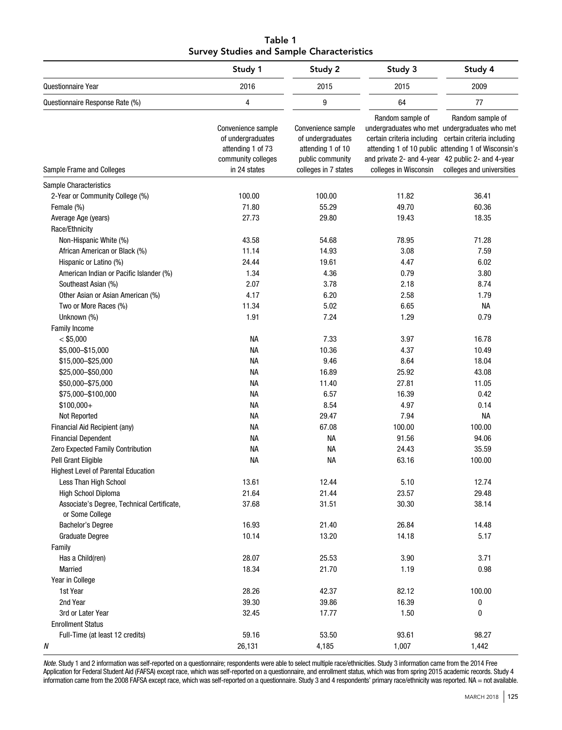| Table 1                                          |  |  |  |  |  |  |  |
|--------------------------------------------------|--|--|--|--|--|--|--|
| <b>Survey Studies and Sample Characteristics</b> |  |  |  |  |  |  |  |

|                                            | Study 1<br>Study 2                                                                                 |                                                                                                          | Study 3                                                                                                                      | Study 4                                                                                                                                                                             |  |
|--------------------------------------------|----------------------------------------------------------------------------------------------------|----------------------------------------------------------------------------------------------------------|------------------------------------------------------------------------------------------------------------------------------|-------------------------------------------------------------------------------------------------------------------------------------------------------------------------------------|--|
| Questionnaire Year                         | 2016                                                                                               | 2015                                                                                                     | 2015                                                                                                                         | 2009<br>77                                                                                                                                                                          |  |
| Questionnaire Response Rate (%)            | 4                                                                                                  | 9                                                                                                        | 64                                                                                                                           |                                                                                                                                                                                     |  |
| Sample Frame and Colleges                  | Convenience sample<br>of undergraduates<br>attending 1 of 73<br>community colleges<br>in 24 states | Convenience sample<br>of undergraduates<br>attending 1 of 10<br>public community<br>colleges in 7 states | Random sample of<br>certain criteria including<br>and private 2- and 4-year 42 public 2- and 4-year<br>colleges in Wisconsin | Random sample of<br>undergraduates who met undergraduates who met<br>certain criteria including<br>attending 1 of 10 public attending 1 of Wisconsin's<br>colleges and universities |  |
| Sample Characteristics                     |                                                                                                    |                                                                                                          |                                                                                                                              |                                                                                                                                                                                     |  |
| 2-Year or Community College (%)            | 100.00                                                                                             | 100.00                                                                                                   | 11.82                                                                                                                        | 36.41                                                                                                                                                                               |  |
| Female (%)                                 | 71.80                                                                                              | 55.29                                                                                                    | 49.70                                                                                                                        | 60.36                                                                                                                                                                               |  |
| Average Age (years)                        | 27.73                                                                                              | 29.80                                                                                                    | 19.43                                                                                                                        | 18.35                                                                                                                                                                               |  |
| Race/Ethnicity                             |                                                                                                    |                                                                                                          |                                                                                                                              |                                                                                                                                                                                     |  |
| Non-Hispanic White (%)                     | 43.58                                                                                              | 54.68                                                                                                    | 78.95                                                                                                                        | 71.28                                                                                                                                                                               |  |
| African American or Black (%)              | 11.14                                                                                              | 14.93                                                                                                    | 3.08                                                                                                                         | 7.59                                                                                                                                                                                |  |
| Hispanic or Latino (%)                     | 24.44                                                                                              | 19.61                                                                                                    | 4.47                                                                                                                         | 6.02                                                                                                                                                                                |  |
| American Indian or Pacific Islander (%)    | 1.34                                                                                               | 4.36                                                                                                     | 0.79                                                                                                                         | 3.80                                                                                                                                                                                |  |
| Southeast Asian (%)                        | 2.07                                                                                               | 3.78                                                                                                     | 2.18                                                                                                                         | 8.74                                                                                                                                                                                |  |
| Other Asian or Asian American (%)          | 4.17                                                                                               | 6.20                                                                                                     | 2.58                                                                                                                         | 1.79                                                                                                                                                                                |  |
| Two or More Races (%)                      | 11.34                                                                                              | 5.02                                                                                                     | 6.65                                                                                                                         | <b>NA</b>                                                                                                                                                                           |  |
| Unknown (%)                                | 1.91                                                                                               | 7.24                                                                                                     | 1.29                                                                                                                         | 0.79                                                                                                                                                                                |  |
| <b>Family Income</b>                       |                                                                                                    |                                                                                                          |                                                                                                                              |                                                                                                                                                                                     |  |
| $<$ \$5,000                                | <b>NA</b>                                                                                          | 7.33                                                                                                     | 3.97                                                                                                                         | 16.78                                                                                                                                                                               |  |
| \$5,000 - \$15,000                         | <b>NA</b>                                                                                          | 10.36                                                                                                    | 4.37                                                                                                                         | 10.49                                                                                                                                                                               |  |
| \$15,000-\$25,000                          | <b>NA</b>                                                                                          | 9.46                                                                                                     | 8.64                                                                                                                         | 18.04                                                                                                                                                                               |  |
| \$25,000-\$50,000                          | NА                                                                                                 | 16.89                                                                                                    | 25.92                                                                                                                        | 43.08                                                                                                                                                                               |  |
| \$50,000-\$75,000                          | NА                                                                                                 | 11.40                                                                                                    | 27.81                                                                                                                        | 11.05                                                                                                                                                                               |  |
| \$75,000-\$100,000                         | NА                                                                                                 | 6.57                                                                                                     | 16.39                                                                                                                        | 0.42                                                                                                                                                                                |  |
| $$100,000+$                                | <b>NA</b>                                                                                          | 8.54                                                                                                     | 4.97                                                                                                                         | 0.14                                                                                                                                                                                |  |
| Not Reported                               | <b>NA</b>                                                                                          | 29.47                                                                                                    | 7.94                                                                                                                         | <b>NA</b>                                                                                                                                                                           |  |
| Financial Aid Recipient (any)              | <b>NA</b>                                                                                          | 67.08                                                                                                    | 100.00                                                                                                                       | 100.00                                                                                                                                                                              |  |
| <b>Financial Dependent</b>                 | <b>NA</b>                                                                                          | <b>NA</b>                                                                                                | 91.56                                                                                                                        | 94.06                                                                                                                                                                               |  |
| Zero Expected Family Contribution          | <b>NA</b>                                                                                          | <b>NA</b>                                                                                                | 24.43                                                                                                                        | 35.59                                                                                                                                                                               |  |
| Pell Grant Eligible                        | <b>NA</b>                                                                                          | <b>NA</b>                                                                                                | 63.16                                                                                                                        | 100.00                                                                                                                                                                              |  |
| <b>Highest Level of Parental Education</b> |                                                                                                    |                                                                                                          |                                                                                                                              |                                                                                                                                                                                     |  |
| Less Than High School                      | 13.61                                                                                              | 12.44                                                                                                    | 5.10                                                                                                                         | 12.74                                                                                                                                                                               |  |
| <b>High School Diploma</b>                 | 21.64                                                                                              | 21.44                                                                                                    | 23.57                                                                                                                        | 29.48                                                                                                                                                                               |  |
| Associate's Degree, Technical Certificate, | 37.68                                                                                              | 31.51                                                                                                    | 30.30                                                                                                                        | 38.14                                                                                                                                                                               |  |
| or Some College                            |                                                                                                    |                                                                                                          |                                                                                                                              |                                                                                                                                                                                     |  |
| <b>Bachelor's Degree</b>                   | 16.93                                                                                              | 21.40                                                                                                    | 26.84                                                                                                                        | 14.48                                                                                                                                                                               |  |
| <b>Graduate Degree</b>                     | 10.14                                                                                              | 13.20                                                                                                    | 14.18                                                                                                                        | 5.17                                                                                                                                                                                |  |
| Family                                     |                                                                                                    |                                                                                                          |                                                                                                                              |                                                                                                                                                                                     |  |
| Has a Child(ren)                           | 28.07                                                                                              | 25.53                                                                                                    | 3.90                                                                                                                         | 3.71                                                                                                                                                                                |  |
| Married                                    | 18.34                                                                                              | 21.70                                                                                                    | 1.19                                                                                                                         | 0.98                                                                                                                                                                                |  |
| Year in College                            |                                                                                                    |                                                                                                          |                                                                                                                              |                                                                                                                                                                                     |  |
| 1st Year                                   | 28.26                                                                                              | 42.37                                                                                                    | 82.12                                                                                                                        | 100.00                                                                                                                                                                              |  |
| 2nd Year                                   | 39.30                                                                                              | 39.86                                                                                                    | 16.39                                                                                                                        | 0                                                                                                                                                                                   |  |
| 3rd or Later Year                          | 32.45                                                                                              | 17.77                                                                                                    | 1.50                                                                                                                         | 0                                                                                                                                                                                   |  |
| <b>Enrollment Status</b>                   |                                                                                                    |                                                                                                          |                                                                                                                              |                                                                                                                                                                                     |  |
| Full-Time (at least 12 credits)            | 59.16                                                                                              | 53.50                                                                                                    | 93.61                                                                                                                        | 98.27                                                                                                                                                                               |  |
| N                                          | 26,131                                                                                             | 4,185                                                                                                    | 1,007                                                                                                                        | 1,442                                                                                                                                                                               |  |

*Note.* Study 1 and 2 information was self-reported on a questionnaire; respondents were able to select multiple race/ethnicities. Study 3 information came from the 2014 Free Application for Federal Student Aid (FAFSA) except race, which was self-reported on a questionnaire, and enrollment status, which was from spring 2015 academic records. Study 4 information came from the 2008 FAFSA except race, which was self-reported on a questionnaire. Study 3 and 4 respondents' primary race/ethnicity was reported. NA = not available.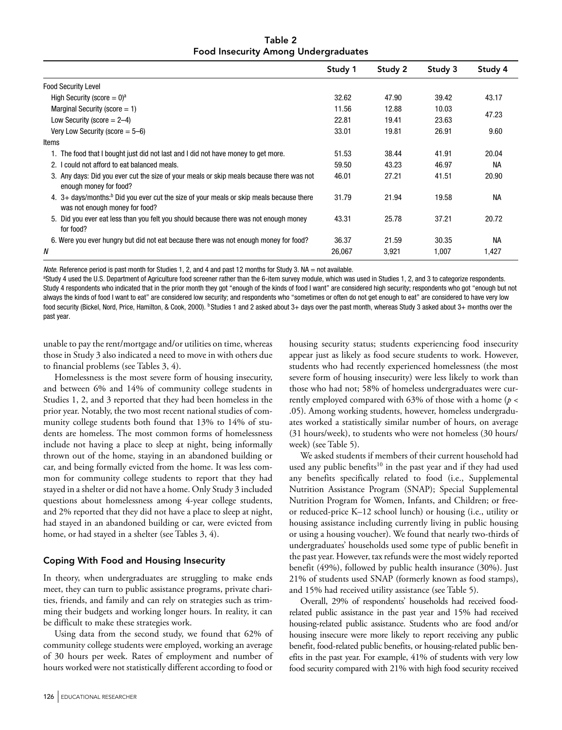Table 2 Food Insecurity Among Undergraduates

|                                                                                                                                         | Study 1 | Study 2 | Study 3 | Study 4   |
|-----------------------------------------------------------------------------------------------------------------------------------------|---------|---------|---------|-----------|
| <b>Food Security Level</b>                                                                                                              |         |         |         |           |
| High Security (score = $0$ ) <sup>a</sup>                                                                                               | 32.62   | 47.90   | 39.42   | 43.17     |
| Marginal Security (score $= 1$ )                                                                                                        | 11.56   | 12.88   | 10.03   |           |
| Low Security (score $= 2-4$ )                                                                                                           | 22.81   | 19.41   | 23.63   | 47.23     |
| Very Low Security (score $= 5-6$ )                                                                                                      | 33.01   | 19.81   | 26.91   | 9.60      |
| Items                                                                                                                                   |         |         |         |           |
| 1. The food that I bought just did not last and I did not have money to get more.                                                       | 51.53   | 38.44   | 41.91   | 20.04     |
| 2. I could not afford to eat balanced meals.                                                                                            | 59.50   | 43.23   | 46.97   | <b>NA</b> |
| 3. Any days: Did you ever cut the size of your meals or skip meals because there was not<br>enough money for food?                      | 46.01   | 27.21   | 41.51   | 20.90     |
| 4. $3+$ days/months: <sup>b</sup> Did you ever cut the size of your meals or skip meals because there<br>was not enough money for food? | 31.79   | 21.94   | 19.58   | <b>NA</b> |
| 5. Did you ever eat less than you felt you should because there was not enough money<br>for food?                                       | 43.31   | 25.78   | 37.21   | 20.72     |
| 6. Were you ever hungry but did not eat because there was not enough money for food?                                                    | 36.37   | 21.59   | 30.35   | <b>NA</b> |
| N                                                                                                                                       | 26,067  | 3,921   | 1,007   | 1,427     |

*Note*. Reference period is past month for Studies 1, 2, and 4 and past 12 months for Study 3. NA = not available.

a Study 4 used the U.S. Department of Agriculture food screener rather than the 6-item survey module, which was used in Studies 1, 2, and 3 to categorize respondents. Study 4 respondents who indicated that in the prior month they got "enough of the kinds of food I want" are considered high security; respondents who got "enough but not always the kinds of food I want to eat" are considered low security; and respondents who "sometimes or often do not get enough to eat" are considered to have very low food security (Bickel, Nord, Price, Hamilton, & Cook, 2000). **b** Studies 1 and 2 asked about 3+ days over the past month, whereas Study 3 asked about 3+ months over the past year.

unable to pay the rent/mortgage and/or utilities on time, whereas those in Study 3 also indicated a need to move in with others due to financial problems (see Tables 3, 4).

Homelessness is the most severe form of housing insecurity, and between 6% and 14% of community college students in Studies 1, 2, and 3 reported that they had been homeless in the prior year. Notably, the two most recent national studies of community college students both found that 13% to 14% of students are homeless. The most common forms of homelessness include not having a place to sleep at night, being informally thrown out of the home, staying in an abandoned building or car, and being formally evicted from the home. It was less common for community college students to report that they had stayed in a shelter or did not have a home. Only Study 3 included questions about homelessness among 4-year college students, and 2% reported that they did not have a place to sleep at night, had stayed in an abandoned building or car, were evicted from home, or had stayed in a shelter (see Tables 3, 4).

## Coping With Food and Housing Insecurity

In theory, when undergraduates are struggling to make ends meet, they can turn to public assistance programs, private charities, friends, and family and can rely on strategies such as trimming their budgets and working longer hours. In reality, it can be difficult to make these strategies work.

Using data from the second study, we found that 62% of community college students were employed, working an average of 30 hours per week. Rates of employment and number of hours worked were not statistically different according to food or

housing security status; students experiencing food insecurity appear just as likely as food secure students to work. However, students who had recently experienced homelessness (the most severe form of housing insecurity) were less likely to work than those who had not; 58% of homeless undergraduates were currently employed compared with 63% of those with a home (*p* < .05). Among working students, however, homeless undergraduates worked a statistically similar number of hours, on average (31 hours/week), to students who were not homeless (30 hours/ week) (see Table 5).

We asked students if members of their current household had used any public benefits<sup>10</sup> in the past year and if they had used any benefits specifically related to food (i.e., Supplemental Nutrition Assistance Program (SNAP); Special Supplemental Nutrition Program for Women, Infants, and Children; or freeor reduced-price K–12 school lunch) or housing (i.e., utility or housing assistance including currently living in public housing or using a housing voucher). We found that nearly two-thirds of undergraduates' households used some type of public benefit in the past year. However, tax refunds were the most widely reported benefit (49%), followed by public health insurance (30%). Just 21% of students used SNAP (formerly known as food stamps), and 15% had received utility assistance (see Table 5).

Overall, 29% of respondents' households had received foodrelated public assistance in the past year and 15% had received housing-related public assistance. Students who are food and/or housing insecure were more likely to report receiving any public benefit, food-related public benefits, or housing-related public benefits in the past year. For example, 41% of students with very low food security compared with 21% with high food security received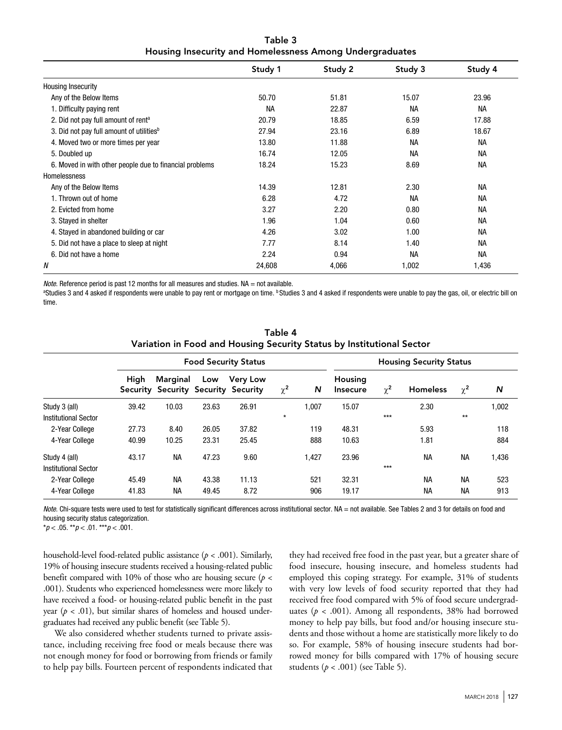| Table 3 |                                                          |
|---------|----------------------------------------------------------|
|         | Housing Insecurity and Homelessness Among Undergraduates |

|                                                         | Study 1   | Study 2 | Study 3   | Study 4   |
|---------------------------------------------------------|-----------|---------|-----------|-----------|
| <b>Housing Insecurity</b>                               |           |         |           |           |
| Any of the Below Items                                  | 50.70     | 51.81   | 15.07     | 23.96     |
| 1. Difficulty paying rent                               | <b>NA</b> | 22.87   | <b>NA</b> | <b>NA</b> |
| 2. Did not pay full amount of rent <sup>a</sup>         | 20.79     | 18.85   | 6.59      | 17.88     |
| 3. Did not pay full amount of utilities <sup>b</sup>    | 27.94     | 23.16   | 6.89      | 18.67     |
| 4. Moved two or more times per year                     | 13.80     | 11.88   | <b>NA</b> | <b>NA</b> |
| 5. Doubled up                                           | 16.74     | 12.05   | <b>NA</b> | <b>NA</b> |
| 6. Moved in with other people due to financial problems | 18.24     | 15.23   | 8.69      | <b>NA</b> |
| Homelessness                                            |           |         |           |           |
| Any of the Below Items                                  | 14.39     | 12.81   | 2.30      | <b>NA</b> |
| 1. Thrown out of home                                   | 6.28      | 4.72    | <b>NA</b> | <b>NA</b> |
| 2. Evicted from home                                    | 3.27      | 2.20    | 0.80      | <b>NA</b> |
| 3. Stayed in shelter                                    | 1.96      | 1.04    | 0.60      | <b>NA</b> |
| 4. Stayed in abandoned building or car                  | 4.26      | 3.02    | 1.00      | <b>NA</b> |
| 5. Did not have a place to sleep at night               | 7.77      | 8.14    | 1.40      | <b>NA</b> |
| 6. Did not have a home                                  | 2.24      | 0.94    | <b>NA</b> | <b>NA</b> |
| N                                                       | 24,608    | 4,066   | 1,002     | 1,436     |

*Note*. Reference period is past 12 months for all measures and studies. NA = not available.

<sup>a</sup>Studies 3 and 4 asked if respondents were unable to pay rent or mortgage on time. <sup>b</sup>Studies 3 and 4 asked if respondents were unable to pay the gas, oil, or electric bill on time.

|                             | <b>Food Security Status</b> |                                                 |       |                 |          |       | <b>Housing Security Status</b> |          |                 |           |       |
|-----------------------------|-----------------------------|-------------------------------------------------|-------|-----------------|----------|-------|--------------------------------|----------|-----------------|-----------|-------|
|                             | High                        | Marginal<br>Security Security Security Security | Low   | <b>Very Low</b> | $\chi^2$ | N     | Housing<br><b>Insecure</b>     | $\chi^2$ | <b>Homeless</b> | $\chi^2$  | N     |
| Study 3 (all)               | 39.42                       | 10.03                                           | 23.63 | 26.91           |          | 1.007 | 15.07                          |          | 2.30            |           | 1,002 |
| Institutional Sector        |                             |                                                 |       |                 | $\star$  |       |                                | $***$    |                 | $**$      |       |
| 2-Year College              | 27.73                       | 8.40                                            | 26.05 | 37.82           |          | 119   | 48.31                          |          | 5.93            |           | 118   |
| 4-Year College              | 40.99                       | 10.25                                           | 23.31 | 25.45           |          | 888   | 10.63                          |          | 1.81            |           | 884   |
| Study 4 (all)               | 43.17                       | NА                                              | 47.23 | 9.60            |          | 1,427 | 23.96                          |          | <b>NA</b>       | <b>NA</b> | 1,436 |
| <b>Institutional Sector</b> |                             |                                                 |       |                 |          |       |                                | $***$    |                 |           |       |
| 2-Year College              | 45.49                       | <b>NA</b>                                       | 43.38 | 11.13           |          | 521   | 32.31                          |          | <b>NA</b>       | <b>NA</b> | 523   |
| 4-Year College              | 41.83                       | <b>NA</b>                                       | 49.45 | 8.72            |          | 906   | 19.17                          |          | <b>NA</b>       | <b>NA</b> | 913   |

Table 4 Variation in Food and Housing Security Status by Institutional Sector

*Note*. Chi-square tests were used to test for statistically significant differences across institutional sector. NA = not available. See Tables 2 and 3 for details on food and housing security status categorization.

\**p* < .05. \*\**p* < .01. \*\*\**p* < .001.

household-level food-related public assistance (*p* < .001). Similarly, 19% of housing insecure students received a housing-related public benefit compared with 10% of those who are housing secure (*p* < .001). Students who experienced homelessness were more likely to have received a food- or housing-related public benefit in the past year  $(p < .01)$ , but similar shares of homeless and housed undergraduates had received any public benefit (see Table 5).

We also considered whether students turned to private assistance, including receiving free food or meals because there was not enough money for food or borrowing from friends or family to help pay bills. Fourteen percent of respondents indicated that

they had received free food in the past year, but a greater share of food insecure, housing insecure, and homeless students had employed this coping strategy. For example, 31% of students with very low levels of food security reported that they had received free food compared with 5% of food secure undergraduates (*p* < .001). Among all respondents, 38% had borrowed money to help pay bills, but food and/or housing insecure students and those without a home are statistically more likely to do so. For example, 58% of housing insecure students had borrowed money for bills compared with 17% of housing secure students (*p* < .001) (see Table 5).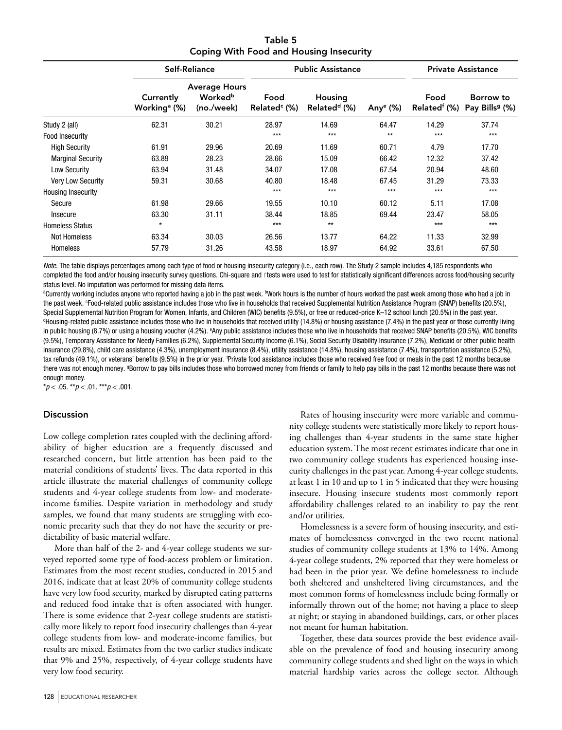Table 5 Coping With Food and Housing Insecurity

|                           | <b>Self-Reliance</b>                  |                                                           |                                  | <b>Public Assistance</b>            |                      |                                  | <b>Private Assistance</b>               |  |
|---------------------------|---------------------------------------|-----------------------------------------------------------|----------------------------------|-------------------------------------|----------------------|----------------------------------|-----------------------------------------|--|
|                           | Currently<br>Working <sup>a</sup> (%) | <b>Average Hours</b><br>Worked <sup>b</sup><br>(no./week) | Food<br>Related <sup>c</sup> (%) | Housing<br>Related <sup>d</sup> (%) | Any <sup>e</sup> (%) | Food<br>Related <sup>f</sup> (%) | Borrow to<br>Pay Bills <sup>9</sup> (%) |  |
| Study 2 (all)             | 62.31                                 | 30.21                                                     | 28.97                            | 14.69                               | 64.47                | 14.29                            | 37.74                                   |  |
| Food Insecurity           |                                       |                                                           | $***$                            | $***$                               | $**$                 | $***$                            | $***$                                   |  |
| <b>High Security</b>      | 61.91                                 | 29.96                                                     | 20.69                            | 11.69                               | 60.71                | 4.79                             | 17.70                                   |  |
| <b>Marginal Security</b>  | 63.89                                 | 28.23                                                     | 28.66                            | 15.09                               | 66.42                | 12.32                            | 37.42                                   |  |
| Low Security              | 63.94                                 | 31.48                                                     | 34.07                            | 17.08                               | 67.54                | 20.94                            | 48.60                                   |  |
| <b>Very Low Security</b>  | 59.31                                 | 30.68                                                     | 40.80                            | 18.48                               | 67.45                | 31.29                            | 73.33                                   |  |
| <b>Housing Insecurity</b> |                                       |                                                           | $***$                            | $***$                               | $***$                | $***$                            | $***$                                   |  |
| Secure                    | 61.98                                 | 29.66                                                     | 19.55                            | 10.10                               | 60.12                | 5.11                             | 17.08                                   |  |
| Insecure                  | 63.30                                 | 31.11                                                     | 38.44                            | 18.85                               | 69.44                | 23.47                            | 58.05                                   |  |
| <b>Homeless Status</b>    | $\star$                               |                                                           | $***$                            | $**$                                |                      | $***$                            | $***$                                   |  |
| <b>Not Homeless</b>       | 63.34                                 | 30.03                                                     | 26.56                            | 13.77                               | 64.22                | 11.33                            | 32.99                                   |  |
| <b>Homeless</b>           | 57.79                                 | 31.26                                                     | 43.58                            | 18.97                               | 64.92                | 33.61                            | 67.50                                   |  |

*Note*. The table displays percentages among each type of food or housing insecurity category (i.e., each row). The Study 2 sample includes 4,185 respondents who completed the food and/or housing insecurity survey questions. Chi-square and *t* tests were used to test for statistically significant differences across food/housing security status level. No imputation was performed for missing data items.

<sup>a</sup>Currently working includes anyone who reported having a job in the past week. <sup>b</sup>Work hours is the number of hours worked the past week among those who had a job in the past week. <sup>c</sup>Food-related public assistance includes those who live in households that received Supplemental Nutrition Assistance Program (SNAP) benefits (20.5%), Special Supplemental Nutrition Program for Women, Infants, and Children (WIC) benefits (9.5%), or free or reduced-price K–12 school lunch (20.5%) in the past year. <sup>d</sup>Housing-related public assistance includes those who live in households that received utility (14.8%) or housing assistance (7.4%) in the past year or those currently living in public housing (8.7%) or using a housing voucher (4.2%). <sup>e</sup>Any public assistance includes those who live in households that received SNAP benefits (20.5%), WIC benefits (9.5%), Temporary Assistance for Needy Families (6.2%), Supplemental Security Income (6.1%), Social Security Disability Insurance (7.2%), Medicaid or other public health insurance (29.8%), child care assistance (4.3%), unemployment insurance (8.4%), utility assistance (14.8%), housing assistance (7.4%), transportation assistance (5.2%), tax refunds (49.1%), or veterans' benefits (9.5%) in the prior year. f Private food assistance includes those who received free food or meals in the past 12 months because there was not enough money. <sup>9</sup>Borrow to pay bills includes those who borrowed money from friends or family to help pay bills in the past 12 months because there was not enough money.

\**p* < .05. \*\**p* < .01. \*\*\**p* < .001.

#### **Discussion**

Low college completion rates coupled with the declining affordability of higher education are a frequently discussed and researched concern, but little attention has been paid to the material conditions of students' lives. The data reported in this article illustrate the material challenges of community college students and 4-year college students from low- and moderateincome families. Despite variation in methodology and study samples, we found that many students are struggling with economic precarity such that they do not have the security or predictability of basic material welfare.

More than half of the 2- and 4-year college students we surveyed reported some type of food-access problem or limitation. Estimates from the most recent studies, conducted in 2015 and 2016, indicate that at least 20% of community college students have very low food security, marked by disrupted eating patterns and reduced food intake that is often associated with hunger. There is some evidence that 2-year college students are statistically more likely to report food insecurity challenges than 4-year college students from low- and moderate-income families, but results are mixed. Estimates from the two earlier studies indicate that 9% and 25%, respectively, of 4-year college students have very low food security.

Rates of housing insecurity were more variable and community college students were statistically more likely to report housing challenges than 4-year students in the same state higher education system. The most recent estimates indicate that one in two community college students has experienced housing insecurity challenges in the past year. Among 4-year college students, at least 1 in 10 and up to 1 in 5 indicated that they were housing insecure. Housing insecure students most commonly report affordability challenges related to an inability to pay the rent and/or utilities.

Homelessness is a severe form of housing insecurity, and estimates of homelessness converged in the two recent national studies of community college students at 13% to 14%. Among 4-year college students, 2% reported that they were homeless or had been in the prior year. We define homelessness to include both sheltered and unsheltered living circumstances, and the most common forms of homelessness include being formally or informally thrown out of the home; not having a place to sleep at night; or staying in abandoned buildings, cars, or other places not meant for human habitation.

Together, these data sources provide the best evidence available on the prevalence of food and housing insecurity among community college students and shed light on the ways in which material hardship varies across the college sector. Although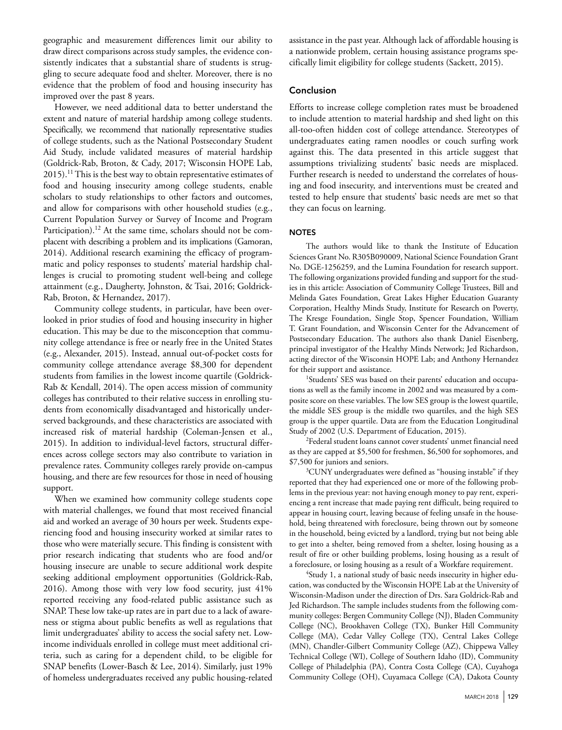geographic and measurement differences limit our ability to draw direct comparisons across study samples, the evidence consistently indicates that a substantial share of students is struggling to secure adequate food and shelter. Moreover, there is no evidence that the problem of food and housing insecurity has improved over the past 8 years.

However, we need additional data to better understand the extent and nature of material hardship among college students. Specifically, we recommend that nationally representative studies of college students, such as the National Postsecondary Student Aid Study, include validated measures of material hardship (Goldrick-Rab, Broton, & Cady, 2017; Wisconsin HOPE Lab,  $2015$ .<sup>11</sup> This is the best way to obtain representative estimates of food and housing insecurity among college students, enable scholars to study relationships to other factors and outcomes, and allow for comparisons with other household studies (e.g., Current Population Survey or Survey of Income and Program Participation).<sup>12</sup> At the same time, scholars should not be complacent with describing a problem and its implications (Gamoran, 2014). Additional research examining the efficacy of programmatic and policy responses to students' material hardship challenges is crucial to promoting student well-being and college attainment (e.g., Daugherty, Johnston, & Tsai, 2016; Goldrick-Rab, Broton, & Hernandez, 2017).

Community college students, in particular, have been overlooked in prior studies of food and housing insecurity in higher education. This may be due to the misconception that community college attendance is free or nearly free in the United States (e.g., Alexander, 2015). Instead, annual out-of-pocket costs for community college attendance average \$8,300 for dependent students from families in the lowest income quartile (Goldrick-Rab & Kendall, 2014). The open access mission of community colleges has contributed to their relative success in enrolling students from economically disadvantaged and historically underserved backgrounds, and these characteristics are associated with increased risk of material hardship (Coleman-Jensen et al., 2015). In addition to individual-level factors, structural differences across college sectors may also contribute to variation in prevalence rates. Community colleges rarely provide on-campus housing, and there are few resources for those in need of housing support.

When we examined how community college students cope with material challenges, we found that most received financial aid and worked an average of 30 hours per week. Students experiencing food and housing insecurity worked at similar rates to those who were materially secure. This finding is consistent with prior research indicating that students who are food and/or housing insecure are unable to secure additional work despite seeking additional employment opportunities (Goldrick-Rab, 2016). Among those with very low food security, just 41% reported receiving any food-related public assistance such as SNAP. These low take-up rates are in part due to a lack of awareness or stigma about public benefits as well as regulations that limit undergraduates' ability to access the social safety net. Lowincome individuals enrolled in college must meet additional criteria, such as caring for a dependent child, to be eligible for SNAP benefits (Lower-Basch & Lee, 2014). Similarly, just 19% of homeless undergraduates received any public housing-related assistance in the past year. Although lack of affordable housing is a nationwide problem, certain housing assistance programs specifically limit eligibility for college students (Sackett, 2015).

### Conclusion

Efforts to increase college completion rates must be broadened to include attention to material hardship and shed light on this all-too-often hidden cost of college attendance. Stereotypes of undergraduates eating ramen noodles or couch surfing work against this. The data presented in this article suggest that assumptions trivializing students' basic needs are misplaced. Further research is needed to understand the correlates of housing and food insecurity, and interventions must be created and tested to help ensure that students' basic needs are met so that they can focus on learning.

#### **NOTES**

The authors would like to thank the Institute of Education Sciences Grant No. R305B090009, National Science Foundation Grant No. DGE-1256259, and the Lumina Foundation for research support. The following organizations provided funding and support for the studies in this article: Association of Community College Trustees, Bill and Melinda Gates Foundation, Great Lakes Higher Education Guaranty Corporation, Healthy Minds Study, Institute for Research on Poverty, The Kresge Foundation, Single Stop, Spencer Foundation, William T. Grant Foundation, and Wisconsin Center for the Advancement of Postsecondary Education. The authors also thank Daniel Eisenberg, principal investigator of the Healthy Minds Network; Jed Richardson, acting director of the Wisconsin HOPE Lab; and Anthony Hernandez for their support and assistance.

<sup>1</sup>Students' SES was based on their parents' education and occupations as well as the family income in 2002 and was measured by a composite score on these variables. The low SES group is the lowest quartile, the middle SES group is the middle two quartiles, and the high SES group is the upper quartile. Data are from the Education Longitudinal Study of 2002 (U.S. Department of Education, 2015).

2 Federal student loans cannot cover students' unmet financial need as they are capped at \$5,500 for freshmen, \$6,500 for sophomores, and \$7,500 for juniors and seniors.

<sup>3</sup>CUNY undergraduates were defined as "housing instable" if they reported that they had experienced one or more of the following problems in the previous year: not having enough money to pay rent, experiencing a rent increase that made paying rent difficult, being required to appear in housing court, leaving because of feeling unsafe in the household, being threatened with foreclosure, being thrown out by someone in the household, being evicted by a landlord, trying but not being able to get into a shelter, being removed from a shelter, losing housing as a result of fire or other building problems, losing housing as a result of a foreclosure, or losing housing as a result of a Workfare requirement.

4 Study 1, a national study of basic needs insecurity in higher education, was conducted by the Wisconsin HOPE Lab at the University of Wisconsin-Madison under the direction of Drs. Sara Goldrick-Rab and Jed Richardson. The sample includes students from the following community colleges: Bergen Community College (NJ), Bladen Community College (NC), Brookhaven College (TX), Bunker Hill Community College (MA), Cedar Valley College (TX), Central Lakes College (MN), Chandler-Gilbert Community College (AZ), Chippewa Valley Technical College (WI), College of Southern Idaho (ID), Community College of Philadelphia (PA), Contra Costa College (CA), Cuyahoga Community College (OH), Cuyamaca College (CA), Dakota County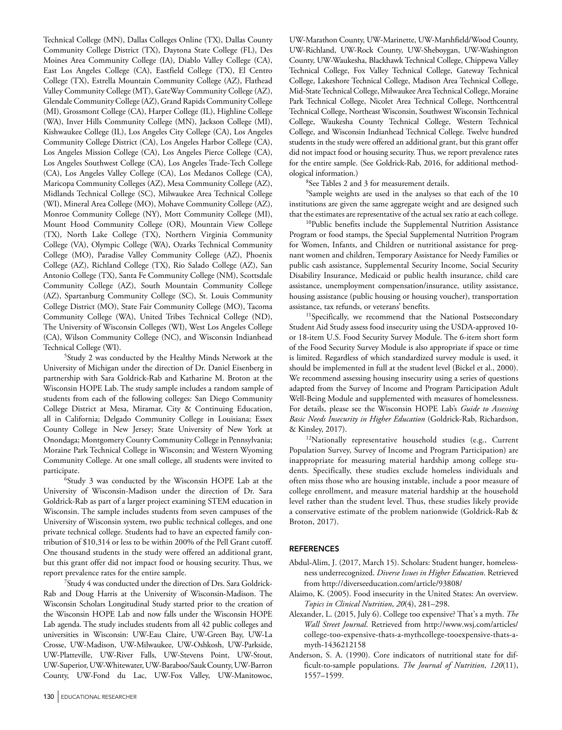Technical College (MN), Dallas Colleges Online (TX), Dallas County Community College District (TX), Daytona State College (FL), Des Moines Area Community College (IA), Diablo Valley College (CA), East Los Angeles College (CA), Eastfield College (TX), El Centro College (TX), Estrella Mountain Community College (AZ), Flathead Valley Community College (MT), GateWay Community College (AZ), Glendale Community College (AZ), Grand Rapids Community College (MI), Grossmont College (CA), Harper College (IL), Highline College (WA), Inver Hills Community College (MN), Jackson College (MI), Kishwaukee College (IL), Los Angeles City College (CA), Los Angeles Community College District (CA), Los Angeles Harbor College (CA), Los Angeles Mission College (CA), Los Angeles Pierce College (CA), Los Angeles Southwest College (CA), Los Angeles Trade-Tech College (CA), Los Angeles Valley College (CA), Los Medanos College (CA), Maricopa Community Colleges (AZ), Mesa Community College (AZ), Midlands Technical College (SC), Milwaukee Area Technical College (WI), Mineral Area College (MO), Mohave Community College (AZ), Monroe Community College (NY), Mott Community College (MI), Mount Hood Community College (OR), Mountain View College (TX), North Lake College (TX), Northern Virginia Community College (VA), Olympic College (WA), Ozarks Technical Community College (MO), Paradise Valley Community College (AZ), Phoenix College (AZ), Richland College (TX), Rio Salado College (AZ), San Antonio College (TX), Santa Fe Community College (NM), Scottsdale Community College (AZ), South Mountain Community College (AZ), Spartanburg Community College (SC), St. Louis Community College District (MO), State Fair Community College (MO), Tacoma Community College (WA), United Tribes Technical College (ND), The University of Wisconsin Colleges (WI), West Los Angeles College (CA), Wilson Community College (NC), and Wisconsin Indianhead Technical College (WI).

5 Study 2 was conducted by the Healthy Minds Network at the University of Michigan under the direction of Dr. Daniel Eisenberg in partnership with Sara Goldrick-Rab and Katharine M. Broton at the Wisconsin HOPE Lab. The study sample includes a random sample of students from each of the following colleges: San Diego Community College District at Mesa, Miramar, City & Continuing Education, all in California; Delgado Community College in Louisiana; Essex County College in New Jersey; State University of New York at Onondaga; Montgomery County Community College in Pennsylvania; Moraine Park Technical College in Wisconsin; and Western Wyoming Community College. At one small college, all students were invited to participate.

6 Study 3 was conducted by the Wisconsin HOPE Lab at the University of Wisconsin-Madison under the direction of Dr. Sara Goldrick-Rab as part of a larger project examining STEM education in Wisconsin. The sample includes students from seven campuses of the University of Wisconsin system, two public technical colleges, and one private technical college. Students had to have an expected family contribution of \$10,314 or less to be within 200% of the Pell Grant cutoff. One thousand students in the study were offered an additional grant, but this grant offer did not impact food or housing security. Thus, we report prevalence rates for the entire sample.

7 Study 4 was conducted under the direction of Drs. Sara Goldrick-Rab and Doug Harris at the University of Wisconsin-Madison. The Wisconsin Scholars Longitudinal Study started prior to the creation of the Wisconsin HOPE Lab and now falls under the Wisconsin HOPE Lab agenda. The study includes students from all 42 public colleges and universities in Wisconsin: UW-Eau Claire, UW-Green Bay, UW-La Crosse, UW-Madison, UW-Milwaukee, UW-Oshkosh, UW-Parkside, UW-Platteville, UW-River Falls, UW-Stevens Point, UW-Stout, UW-Superior, UW-Whitewater, UW-Baraboo/Sauk County, UW-Barron County, UW-Fond du Lac, UW-Fox Valley, UW-Manitowoc,

UW-Marathon County, UW-Marinette, UW-Marshfield/Wood County, UW-Richland, UW-Rock County, UW-Sheboygan, UW-Washington County, UW-Waukesha, Blackhawk Technical College, Chippewa Valley Technical College, Fox Valley Technical College, Gateway Technical College, Lakeshore Technical College, Madison Area Technical College, Mid-State Technical College, Milwaukee Area Technical College, Moraine Park Technical College, Nicolet Area Technical College, Northcentral Technical College, Northeast Wisconsin, Southwest Wisconsin Technical College, Waukesha County Technical College, Western Technical College, and Wisconsin Indianhead Technical College. Twelve hundred students in the study were offered an additional grant, but this grant offer did not impact food or housing security. Thus, we report prevalence rates for the entire sample. (See Goldrick-Rab, 2016, for additional methodological information.)

8 See Tables 2 and 3 for measurement details.

9 Sample weights are used in the analyses so that each of the 10 institutions are given the same aggregate weight and are designed such that the estimates are representative of the actual sex ratio at each college.

<sup>10</sup>Public benefits include the Supplemental Nutrition Assistance Program or food stamps, the Special Supplemental Nutrition Program for Women, Infants, and Children or nutritional assistance for pregnant women and children, Temporary Assistance for Needy Families or public cash assistance, Supplemental Security Income, Social Security Disability Insurance, Medicaid or public health insurance, child care assistance, unemployment compensation/insurance, utility assistance, housing assistance (public housing or housing voucher), transportation assistance, tax refunds, or veterans' benefits.

<sup>11</sup>Specifically, we recommend that the National Postsecondary Student Aid Study assess food insecurity using the USDA-approved 10 or 18-item U.S. Food Security Survey Module. The 6-item short form of the Food Security Survey Module is also appropriate if space or time is limited. Regardless of which standardized survey module is used, it should be implemented in full at the student level (Bickel et al., 2000). We recommend assessing housing insecurity using a series of questions adapted from the Survey of Income and Program Participation Adult Well-Being Module and supplemented with measures of homelessness. For details, please see the Wisconsin HOPE Lab's *Guide to Assessing Basic Needs Insecurity in Higher Education* (Goldrick-Rab, Richardson, & Kinsley, 2017).

<sup>12</sup>Nationally representative household studies (e.g., Current Population Survey, Survey of Income and Program Participation) are inappropriate for measuring material hardship among college students. Specifically, these studies exclude homeless individuals and often miss those who are housing instable, include a poor measure of college enrollment, and measure material hardship at the household level rather than the student level. Thus, these studies likely provide a conservative estimate of the problem nationwide (Goldrick-Rab & Broton, 2017).

#### **REFERENCES**

- Abdul-Alim, J. (2017, March 15). Scholars: Student hunger, homelessness underrecognized. *Diverse Issues in Higher Education*. Retrieved from http://diverseeducation.com/article/93808/
- Alaimo, K. (2005). Food insecurity in the United States: An overview. *Topics in Clinical Nutrition*, *20*(4), 281–298.
- Alexander, L. (2015, July 6). College too expensive? That's a myth. *The Wall Street Journal*. Retrieved from http://www.wsj.com/articles/ [college-too-expensive-thats-a-mythcollege-tooexpensive-thats-a](http://www.wsj.com/articles/college-too-expensive-thats-a-mythcollege-tooexpensive-thats-amyth-1436212158)myth-1436212158
- Anderson, S. A. (1990). Core indicators of nutritional state for difficult-to-sample populations. *The Journal of Nutrition*, *120*(11), 1557–1599.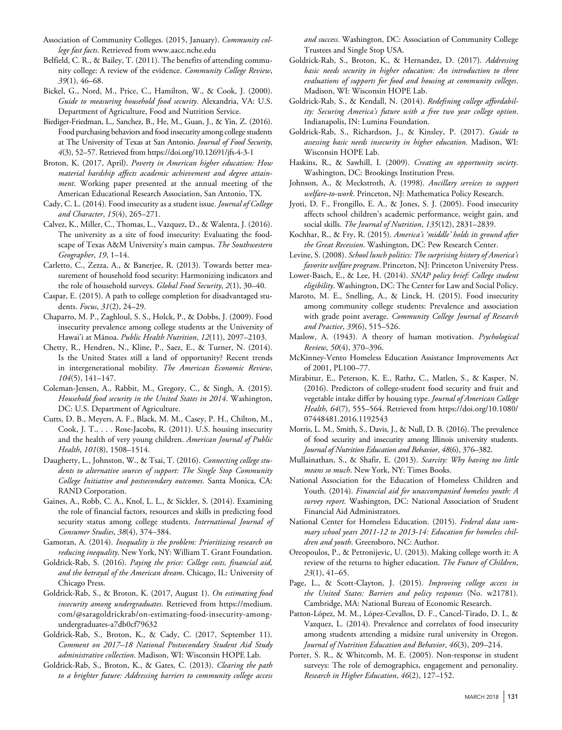- Association of Community Colleges. (2015, January). *Community college fast facts*. Retrieved from www.aacc.nche.edu
- Belfield, C. R., & Bailey, T. (2011). The benefits of attending community college: A review of the evidence. *Community College Review*, *39*(1), 46–68.
- Bickel, G., Nord, M., Price, C., Hamilton, W., & Cook, J. (2000). *Guide to measuring household food security*. Alexandria, VA: U.S. Department of Agriculture, Food and Nutrition Service.
- Biediger-Friedman, L., Sanchez, B., He, M., Guan, J., & Yin, Z. (2016). Food purchasing behaviors and food insecurity among college students at The University of Texas at San Antonio. *Journal of Food Security*, *4*(3), 52–57. Retrieved from https://doi.org/10.12691/jfs-4-3-1
- Broton, K. (2017, April). *Poverty in American higher education: How material hardship affects academic achievement and degree attainment*. Working paper presented at the annual meeting of the American Educational Research Association, San Antonio, TX.
- Cady, C. L. (2014). Food insecurity as a student issue. *Journal of College and Character*, *15*(4), 265–271.
- Calvez, K., Miller, C., Thomas, L., Vazquez, D., & Walenta, J. (2016). The university as a site of food insecurity: Evaluating the foodscape of Texas A&M University's main campus. *The Southwestern Geographer*, *19*, 1–14.
- Carletto, C., Zezza, A., & Banerjee, R. (2013). Towards better measurement of household food security: Harmonizing indicators and the role of household surveys. *Global Food Security*, *2*(1), 30–40.
- Caspar, E. (2015). A path to college completion for disadvantaged students. *Focus*, *31*(2), 24–29.
- Chaparro, M. P., Zaghloul, S. S., Holck, P., & Dobbs, J. (2009). Food insecurity prevalence among college students at the University of Hawai'i at Mānoa. *Public Health Nutrition*, *12*(11), 2097–2103.
- Chetty, R., Hendren, N., Kline, P., Saez, E., & Turner, N. (2014). Is the United States still a land of opportunity? Recent trends in intergenerational mobility. *The American Economic Review*, *104*(5), 141–147.
- Coleman-Jensen, A., Rabbit, M., Gregory, C., & Singh, A. (2015). *Household food security in the United States in 2014*. Washington, DC: U.S. Department of Agriculture.
- Cutts, D. B., Meyers, A. F., Black, M. M., Casey, P. H., Chilton, M., Cook, J. T., . . . Rose-Jacobs, R. (2011). U.S. housing insecurity and the health of very young children. *American Journal of Public Health*, *101*(8), 1508–1514.
- Daugherty, L., Johnston, W., & Tsai, T. (2016). *Connecting college students to alternative sources of support: The Single Stop Community College Initiative and postsecondary outcomes*. Santa Monica, CA: RAND Corporation.
- Gaines, A., Robb, C. A., Knol, L. L., & Sickler, S. (2014). Examining the role of financial factors, resources and skills in predicting food security status among college students. *International Journal of Consumer Studies*, *38*(4), 374–384.
- Gamoran, A. (2014). *Inequality is the problem: Prioritizing research on reducing inequality*. New York, NY: William T. Grant Foundation.
- Goldrick-Rab, S. (2016). *Paying the price: College costs, financial aid, and the betrayal of the American dream*. Chicago, IL: University of Chicago Press.
- Goldrick-Rab, S., & Broton, K. (2017, August 1). *On estimating food insecurity among undergraduates*. Retrieved from https://medium. com/@saragoldrickrab/on-estimating-food-insecurity-amongundergraduates-a7db0cf79632
- Goldrick-Rab, S., Broton, K., & Cady, C. (2017, September 11). *Comment on 2017–18 National Postsecondary Student Aid Study administrative collection*. Madison, WI: Wisconsin HOPE Lab.
- Goldrick-Rab, S., Broton, K., & Gates, C. (2013). *Clearing the path to a brighter future: Addressing barriers to community college access*

*and success*. Washington, DC: Association of Community College Trustees and Single Stop USA.

- Goldrick-Rab, S., Broton, K., & Hernandez, D. (2017). *Addressing basic needs security in higher education: An introduction to three evaluations of supports for food and housing at community colleges*. Madison, WI: Wisconsin HOPE Lab.
- Goldrick-Rab, S., & Kendall, N. (2014). *Redefining college affordability: Securing America's future with a free two year college option*. Indianapolis, IN: Lumina Foundation.
- Goldrick-Rab, S., Richardson, J., & Kinsley, P. (2017). *Guide to assessing basic needs insecurity in higher education*. Madison, WI: Wisconsin HOPE Lab.
- Haskins, R., & Sawhill, I. (2009). *Creating an opportunity society*. Washington, DC: Brookings Institution Press.
- Johnson, A., & Meckstroth, A. (1998). *Ancillary services to support welfare-to-work*. Princeton, NJ: Mathematica Policy Research.
- Jyoti, D. F., Frongillo, E. A., & Jones, S. J. (2005). Food insecurity affects school children's academic performance, weight gain, and social skills. *The Journal of Nutrition*, *135*(12), 2831–2839.
- Kochhar, R., & Fry, R. (2015). *America's 'middle' holds its ground after the Great Recession*. Washington, DC: Pew Research Center.
- Levine, S. (2008). *School lunch politics: The surprising history of America's favorite welfare program*. Princeton, NJ: Princeton University Press.
- Lower-Basch, E., & Lee, H. (2014). *SNAP policy brief: College student eligibility*. Washington, DC: The Center for Law and Social Policy.
- Maroto, M. E., Snelling, A., & Linck, H. (2015). Food insecurity among community college students: Prevalence and association with grade point average. *Community College Journal of Research and Practice*, *39*(6), 515–526.
- Maslow, A. (1943). A theory of human motivation. *Psychological Review*, *50*(4), 370–396.
- McKinney-Vento Homeless Education Assistance Improvements Act of 2001, PL100–77.
- Mirabitur, E., Peterson, K. E., Rathz, C., Matlen, S., & Kasper, N. (2016). Predictors of college-student food security and fruit and vegetable intake differ by housing type. *Journal of American College Health*, *64*(7), 555–564. Retrieved from https://doi.org/10.1080/ 07448481.2016.1192543
- Morris, L. M., Smith, S., Davis, J., & Null, D. B. (2016). The prevalence of food security and insecurity among Illinois university students. *Journal of Nutrition Education and Behavior*, *48*(6), 376–382.
- Mullainathan, S., & Shafir, E. (2013). *Scarcity: Why having too little means so much*. New York, NY: Times Books.
- National Association for the Education of Homeless Children and Youth. (2014). *Financial aid for unaccompanied homeless youth: A survey report*. Washington, DC: National Association of Student Financial Aid Administrators.
- National Center for Homeless Education. (2015). *Federal data summary school years 2011-12 to 2013-14: Education for homeless children and youth*. Greensboro, NC: Author.
- Oreopoulos, P., & Petronijevic, U. (2013). Making college worth it: A review of the returns to higher education. *The Future of Children*, *23*(1), 41–65.
- Page, L., & Scott-Clayton, J. (2015). *Improving college access in the United States: Barriers and policy responses* (No. w21781). Cambridge, MA: National Bureau of Economic Research.
- Patton-López, M. M., López-Cevallos, D. F., Cancel-Tirado, D. I., & Vazquez, L. (2014). Prevalence and correlates of food insecurity among students attending a midsize rural university in Oregon. *Journal of Nutrition Education and Behavior*, *46*(3), 209–214.
- Porter, S. R., & Whitcomb, M. E. (2005). Non-response in student surveys: The role of demographics, engagement and personality. *Research in Higher Education*, *46*(2), 127–152.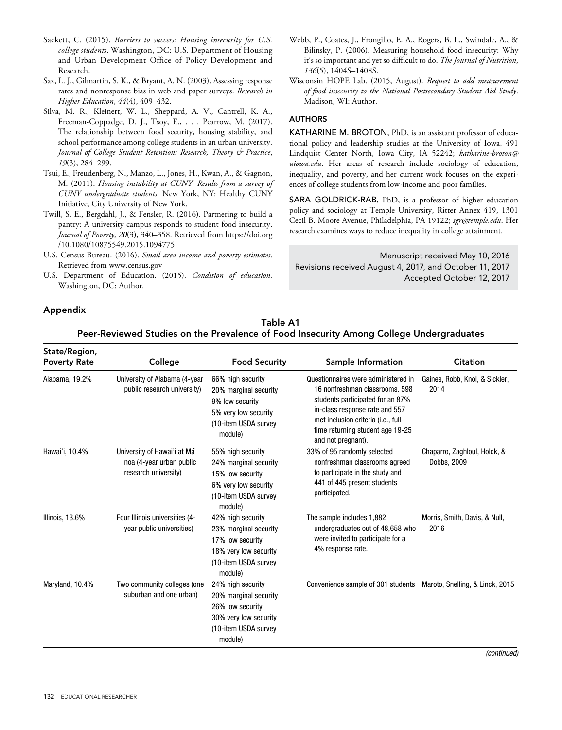- Sackett, C. (2015). *Barriers to success: Housing insecurity for U.S. college students*. Washington, DC: U.S. Department of Housing and Urban Development Office of Policy Development and Research.
- Sax, L. J., Gilmartin, S. K., & Bryant, A. N. (2003). Assessing response rates and nonresponse bias in web and paper surveys. *Research in Higher Education*, *44*(4), 409–432.
- Silva, M. R., Kleinert, W. L., Sheppard, A. V., Cantrell, K. A., Freeman-Coppadge, D. J., Tsoy, E., . . . Pearrow, M. (2017). The relationship between food security, housing stability, and school performance among college students in an urban university. *Journal of College Student Retention: Research, Theory & Practice*, *19*(3), 284–299.
- Tsui, E., Freudenberg, N., Manzo, L., Jones, H., Kwan, A., & Gagnon, M. (2011). *Housing instability at CUNY: Results from a survey of CUNY undergraduate students*. New York, NY: Healthy CUNY Initiative, City University of New York.
- Twill, S. E., Bergdahl, J., & Fensler, R. (2016). Partnering to build a pantry: A university campus responds to student food insecurity. *Journal of Poverty*, *20*(3), 340–358. Retrieved from https://doi.org /10.1080/10875549.2015.1094775
- U.S. Census Bureau. (2016). *Small area income and poverty estimates*. Retrieved from www.census.gov
- U.S. Department of Education. (2015). *Condition of education*. Washington, DC: Author.
- Appendix

Webb, P., Coates, J., Frongillo, E. A., Rogers, B. L., Swindale, A., & Bilinsky, P. (2006). Measuring household food insecurity: Why it's so important and yet so difficult to do. *The Journal of Nutrition*, *136*(5), 1404S–1408S.

Wisconsin HOPE Lab. (2015, August). *Request to add measurement of food insecurity to the National Postsecondary Student Aid Study*. Madison, WI: Author.

## **AUTHORS**

KATHARINE M. BROTON, PhD, is an assistant professor of educational policy and leadership studies at the University of Iowa, 491 Lindquist Center North, Iowa City, IA 52242; *katharine-broton@ uiowa.edu*. Her areas of research include sociology of education, inequality, and poverty, and her current work focuses on the experiences of college students from low-income and poor families.

SARA GOLDRICK-RAB, PhD, is a professor of higher education policy and sociology at Temple University, Ritter Annex 419, 1301 Cecil B. Moore Avenue, Philadelphia, PA 19122; *sgr@temple.edu*. Her research examines ways to reduce inequality in college attainment.

Manuscript received May 10, 2016 Revisions received August 4, 2017, and October 11, 2017 Accepted October 12, 2017

## Table A1 Peer-Reviewed Studies on the Prevalence of Food Insecurity Among College Undergraduates

| State/Region,<br><b>Poverty Rate</b> | College                                                                         | <b>Food Security</b>                                                                                                       | Sample Information                                                                                                                                                                                                                           | <b>Citation</b>                             |
|--------------------------------------|---------------------------------------------------------------------------------|----------------------------------------------------------------------------------------------------------------------------|----------------------------------------------------------------------------------------------------------------------------------------------------------------------------------------------------------------------------------------------|---------------------------------------------|
| Alabama, 19.2%                       | University of Alabama (4-year<br>public research university)                    | 66% high security<br>20% marginal security<br>9% low security<br>5% very low security<br>(10-item USDA survey<br>module)   | Questionnaires were administered in<br>16 nonfreshman classrooms, 598<br>students participated for an 87%<br>in-class response rate and 557<br>met inclusion criteria (i.e., full-<br>time returning student age 19-25<br>and not pregnant). | Gaines, Robb, Knol, & Sickler,<br>2014      |
| Hawai'i, 10.4%                       | University of Hawai'i at Ma<br>noa (4-year urban public<br>research university) | 55% high security<br>24% marginal security<br>15% low security<br>6% very low security<br>(10-item USDA survey<br>module)  | 33% of 95 randomly selected<br>nonfreshman classrooms agreed<br>to participate in the study and<br>441 of 445 present students<br>participated.                                                                                              | Chaparro, Zaghloul, Holck, &<br>Dobbs, 2009 |
| Illinois, 13.6%                      | Four Illinois universities (4-<br>year public universities)                     | 42% high security<br>23% marginal security<br>17% low security<br>18% very low security<br>(10-item USDA survey<br>module) | The sample includes 1,882<br>undergraduates out of 48,658 who<br>were invited to participate for a<br>4% response rate.                                                                                                                      | Morris, Smith, Davis, & Null,<br>2016       |
| Maryland, 10.4%                      | Two community colleges (one<br>suburban and one urban)                          | 24% high security<br>20% marginal security<br>26% low security<br>30% very low security<br>(10-item USDA survey<br>module) | Convenience sample of 301 students                                                                                                                                                                                                           | Maroto, Snelling, & Linck, 2015             |